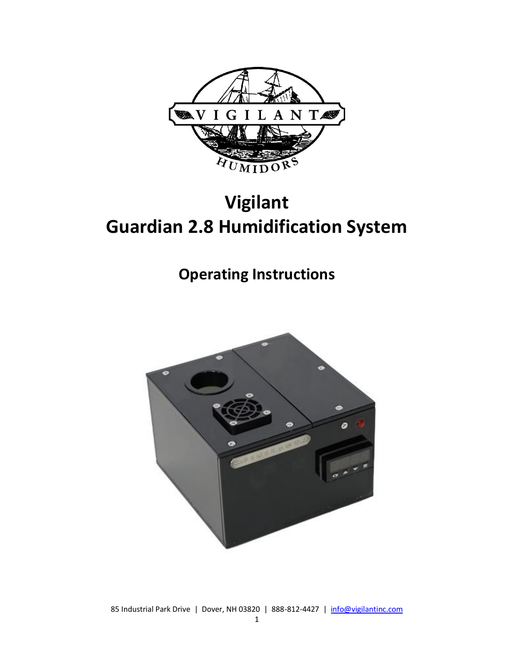

# **Vigilant Guardian 2.8 Humidification System**

## **Operating Instructions**



85 Industrial Park Drive | Dover, NH 03820 | 888-812-4427 | [info@vigilantinc.com](mailto:info@vigilantinc.com)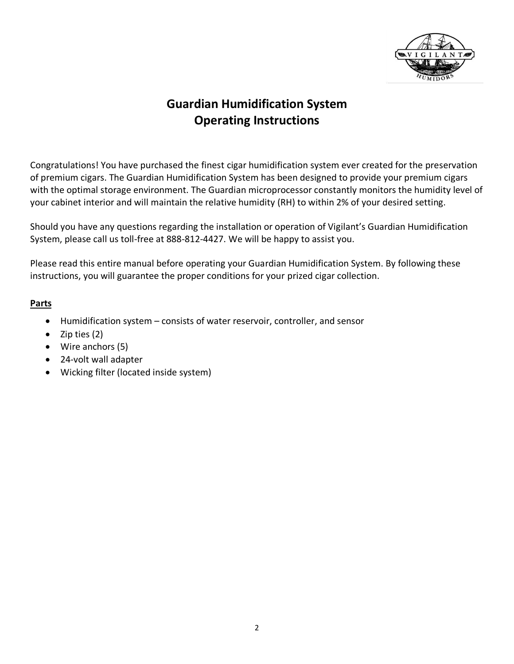

### **Guardian Humidification System Operating Instructions**

Congratulations! You have purchased the finest cigar humidification system ever created for the preservation of premium cigars. The Guardian Humidification System has been designed to provide your premium cigars with the optimal storage environment. The Guardian microprocessor constantly monitors the humidity level of your cabinet interior and will maintain the relative humidity (RH) to within 2% of your desired setting.

Should you have any questions regarding the installation or operation of Vigilant's Guardian Humidification System, please call us toll-free at 888-812-4427. We will be happy to assist you.

Please read this entire manual before operating your Guardian Humidification System. By following these instructions, you will guarantee the proper conditions for your prized cigar collection.

#### **Parts**

- Humidification system consists of water reservoir, controller, and sensor
- Zip ties (2)
- Wire anchors (5)
- 24-volt wall adapter
- Wicking filter (located inside system)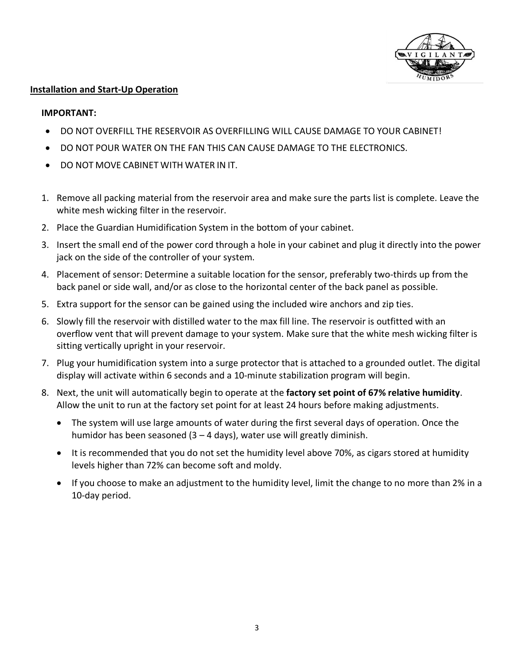

#### **Installation and Start-Up Operation**

#### **IMPORTANT:**

- DO NOT OVERFILL THE RESERVOIR AS OVERFILLING WILL CAUSE DAMAGE TO YOUR CABINET!
- DO NOT POUR WATER ON THE FAN THIS CAN CAUSE DAMAGE TO THE ELECTRONICS.
- DO NOT MOVE CABINET WITH WATER IN IT.
- 1. Remove all packing material from the reservoir area and make sure the parts list is complete. Leave the white mesh wicking filter in the reservoir.
- 2. Place the Guardian Humidification System in the bottom of your cabinet.
- 3. Insert the small end of the power cord through a hole in your cabinet and plug it directly into the power jack on the side of the controller of your system.
- 4. Placement of sensor: Determine a suitable location for the sensor, preferably two-thirds up from the back panel or side wall, and/or as close to the horizontal center of the back panel as possible.
- 5. Extra support for the sensor can be gained using the included wire anchors and zip ties.
- 6. Slowly fill the reservoir with distilled water to the max fill line. The reservoir is outfitted with an overflow vent that will prevent damage to your system. Make sure that the white mesh wicking filter is sitting vertically upright in your reservoir.
- 7. Plug your humidification system into a surge protector that is attached to a grounded outlet. The digital display will activate within 6 seconds and a 10-minute stabilization program will begin.
- 8. Next, the unit will automatically begin to operate at the **factory set point of 67% relative humidity**. Allow the unit to run at the factory set point for at least 24 hours before making adjustments.
	- The system will use large amounts of water during the first several days of operation. Once the humidor has been seasoned  $(3 - 4$  days), water use will greatly diminish.
	- It is recommended that you do not set the humidity level above 70%, as cigars stored at humidity levels higher than 72% can become soft and moldy.
	- If you choose to make an adjustment to the humidity level, limit the change to no more than 2% in a 10-day period.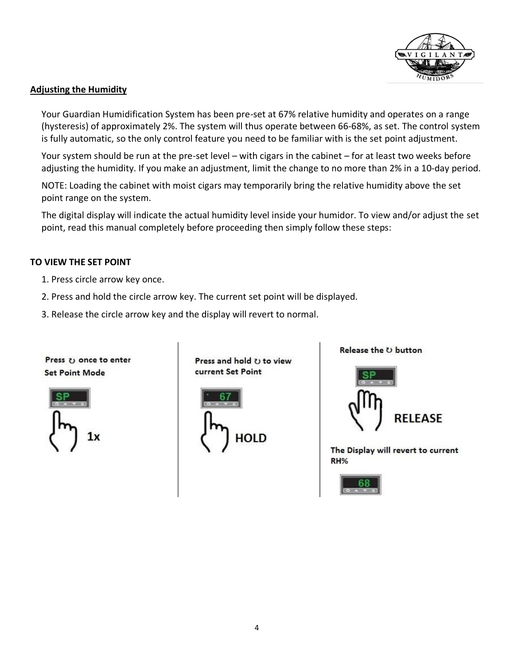

#### **Adjusting the Humidity**

Your Guardian Humidification System has been pre-set at 67% relative humidity and operates on a range (hysteresis) of approximately 2%. The system will thus operate between 66-68%, as set. The control system is fully automatic, so the only control feature you need to be familiar with is the set point adjustment.

Your system should be run at the pre-set level – with cigars in the cabinet – for at least two weeks before adjusting the humidity. If you make an adjustment, limit the change to no more than 2% in a 10-day period.

NOTE: Loading the cabinet with moist cigars may temporarily bring the relative humidity above the set point range on the system.

The digital display will indicate the actual humidity level inside your humidor. To view and/or adjust the set point, read this manual completely before proceeding then simply follow these steps:

#### **TO VIEW THE SET POINT**

- 1. Press circle arrow key once.
- 2. Press and hold the circle arrow key. The current set point will be displayed.
- 3. Release the circle arrow key and the display will revert to normal.



**Set Point Mode** 

Press  $\upsilon$  once to enter

Press and hold  $U$  to view current Set Point





Release the U button



The Display will revert to current RH%

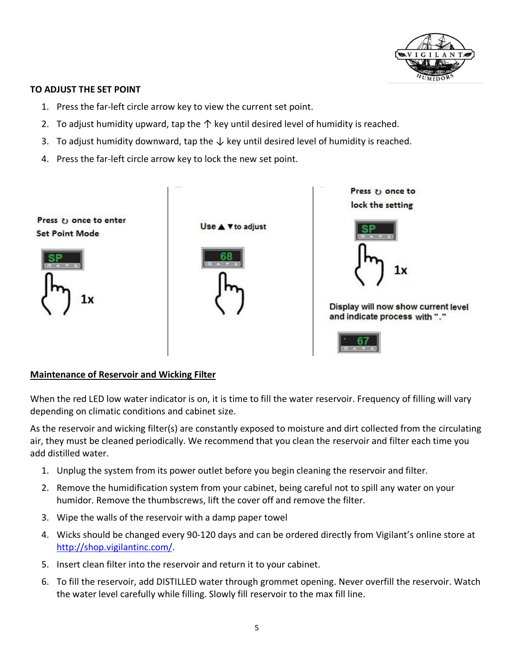

#### **TO ADJUST THE SET POINT**

- 1. Press the far-left circle arrow key to view the current set point.
- 2. To adjust humidity upward, tap the  $\uparrow$  key until desired level of humidity is reached.
- 3. To adjust humidity downward, tap the  $\downarrow$  key until desired level of humidity is reached.
- 4. Press the far-left circle arrow key to lock the new set point.



#### **Maintenance of Reservoir and Wicking Filter**

When the red LED low water indicator is on, it is time to fill the water reservoir. Frequency of filling will vary depending on climatic conditions and cabinet size.

As the reservoir and wicking filter(s) are constantly exposed to moisture and dirt collected from the circulating air, they must be cleaned periodically. We recommend that you clean the reservoir and filter each time you add distilled water.

- 1. Unplug the system from its power outlet before you begin cleaning the reservoir and filter.
- 2. Remove the humidification system from your cabinet, being careful not to spill any water on your humidor. Remove the thumbscrews, lift the cover off and remove the filter.
- 3. Wipe the walls of the reservoir with a damp paper towel
- 4. Wicks should be changed every 90-120 days and can be ordered directly from Vigilant's online store at [http://shop.vigilantinc.com/.](http://shop.vigilantinc.com/)
- 5. Insert clean filter into the reservoir and return it to your cabinet.
- 6. To fill the reservoir, add DISTILLED water through grommet opening. Never overfill the reservoir. Watch the water level carefully while filling. Slowly fill reservoir to the max fill line.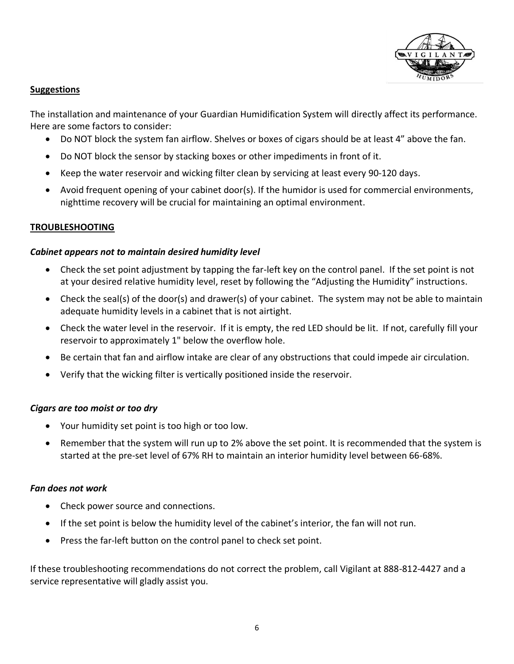

#### **Suggestions**

The installation and maintenance of your Guardian Humidification System will directly affect its performance. Here are some factors to consider:

- Do NOT block the system fan airflow. Shelves or boxes of cigars should be at least 4" above the fan.
- Do NOT block the sensor by stacking boxes or other impediments in front of it.
- Keep the water reservoir and wicking filter clean by servicing at least every 90-120 days.
- Avoid frequent opening of your cabinet door(s). If the humidor is used for commercial environments, nighttime recovery will be crucial for maintaining an optimal environment.

#### **TROUBLESHOOTING**

#### *Cabinet appears not to maintain desired humidity level*

- Check the set point adjustment by tapping the far-left key on the control panel. If the set point is not at your desired relative humidity level, reset by following the "Adjusting the Humidity" instructions.
- Check the seal(s) of the door(s) and drawer(s) of your cabinet. The system may not be able to maintain adequate humidity levels in a cabinet that is not airtight.
- Check the water level in the reservoir. If it is empty, the red LED should be lit. If not, carefully fill your reservoir to approximately 1" below the overflow hole.
- Be certain that fan and airflow intake are clear of any obstructions that could impede air circulation.
- Verify that the wicking filter is vertically positioned inside the reservoir.

#### *Cigars are too moist or too dry*

- Your humidity set point is too high or too low.
- Remember that the system will run up to 2% above the set point. It is recommended that the system is started at the pre-set level of 67% RH to maintain an interior humidity level between 66-68%.

#### *Fan does not work*

- Check power source and connections.
- If the set point is below the humidity level of the cabinet's interior, the fan will not run.
- Press the far-left button on the control panel to check set point.

If these troubleshooting recommendations do not correct the problem, call Vigilant at 888-812-4427 and a service representative will gladly assist you.